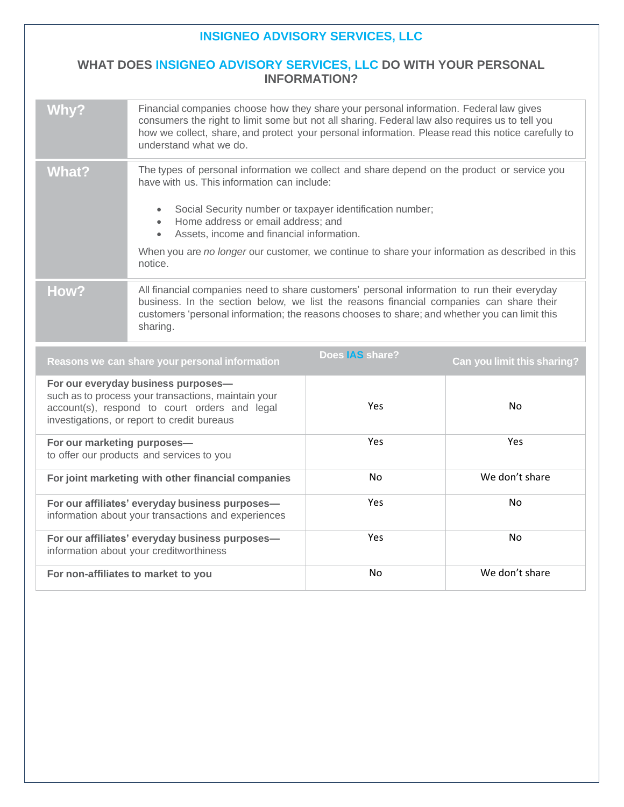## **INSIGNEO ADVISORY SERVICES, LLC**

## **WHAT DOES INSIGNEO ADVISORY SERVICES, LLC DO WITH YOUR PERSONAL INFORMATION?**

| <b>Why?</b>                                                                                                                                                                                | Financial companies choose how they share your personal information. Federal law gives<br>consumers the right to limit some but not all sharing. Federal law also requires us to tell you<br>how we collect, share, and protect your personal information. Please read this notice carefully to<br>understand what we do.                                                                                                          |                        |                             |
|--------------------------------------------------------------------------------------------------------------------------------------------------------------------------------------------|------------------------------------------------------------------------------------------------------------------------------------------------------------------------------------------------------------------------------------------------------------------------------------------------------------------------------------------------------------------------------------------------------------------------------------|------------------------|-----------------------------|
| <b>What?</b>                                                                                                                                                                               | The types of personal information we collect and share depend on the product or service you<br>have with us. This information can include:<br>Social Security number or taxpayer identification number;<br>$\bullet$<br>Home address or email address; and<br>Assets, income and financial information.<br>$\bullet$<br>When you are no longer our customer, we continue to share your information as described in this<br>notice. |                        |                             |
| How?                                                                                                                                                                                       | All financial companies need to share customers' personal information to run their everyday<br>business. In the section below, we list the reasons financial companies can share their<br>customers 'personal information; the reasons chooses to share; and whether you can limit this<br>sharing.                                                                                                                                |                        |                             |
| Reasons we can share your personal information                                                                                                                                             |                                                                                                                                                                                                                                                                                                                                                                                                                                    | Does <b>IAS</b> share? | Can you limit this sharing? |
| For our everyday business purposes-<br>such as to process your transactions, maintain your<br>account(s), respond to court orders and legal<br>investigations, or report to credit bureaus |                                                                                                                                                                                                                                                                                                                                                                                                                                    | Yes                    | No                          |
| For our marketing purposes-<br>to offer our products and services to you                                                                                                                   |                                                                                                                                                                                                                                                                                                                                                                                                                                    | Yes                    | <b>Yes</b>                  |
| For joint marketing with other financial companies                                                                                                                                         |                                                                                                                                                                                                                                                                                                                                                                                                                                    | No                     | We don't share              |
| For our affiliates' everyday business purposes-<br>information about your transactions and experiences                                                                                     |                                                                                                                                                                                                                                                                                                                                                                                                                                    | Yes                    | <b>No</b>                   |
| For our affiliates' everyday business purposes-<br>information about your creditworthiness                                                                                                 |                                                                                                                                                                                                                                                                                                                                                                                                                                    | Yes                    | No                          |
| For non-affiliates to market to you                                                                                                                                                        |                                                                                                                                                                                                                                                                                                                                                                                                                                    | No                     | We don't share              |